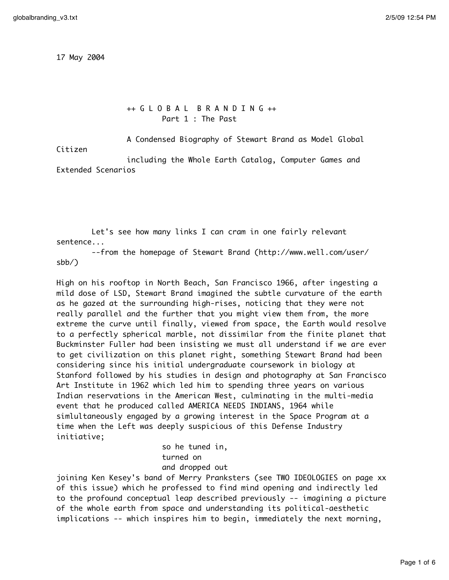17 May 2004

++ G L O B A L B R A N D I N G ++ Part 1 : The Past

A Condensed Biography of Stewart Brand as Model Global

Citizen

including the Whole Earth Catalog, Computer Games and Extended Scenarios

Let's see how many links I can cram in one fairly relevant sentence...

--from the homepage of Stewart Brand (http://www.well.com/user/ sbb/)

High on his rooftop in North Beach, San Francisco 1966, after ingesting a mild dose of LSD, Stewart Brand imagined the subtle curvature of the earth as he gazed at the surrounding high-rises, noticing that they were not really parallel and the further that you might view them from, the more extreme the curve until finally, viewed from space, the Earth would resolve to a perfectly spherical marble, not dissimilar from the finite planet that Buckminster Fuller had been insisting we must all understand if we are ever to get civilization on this planet right, something Stewart Brand had been considering since his initial undergraduate coursework in biology at Stanford followed by his studies in design and photography at San Francisco Art Institute in 1962 which led him to spending three years on various Indian reservations in the American West, culminating in the multi-media event that he produced called AMERICA NEEDS INDIANS, 1964 while simlultaneously engaged by a growing interest in the Space Program at a time when the Left was deeply suspicious of this Defense Industry initiative;

> so he tuned in, turned on and dropped out

joining Ken Kesey's band of Merry Pranksters (see TWO IDEOLOGIES on page xx of this issue) which he professed to find mind opening and indirectly led to the profound conceptual leap described previously -- imagining a picture of the whole earth from space and understanding its political-aesthetic implications -- which inspires him to begin, immediately the next morning,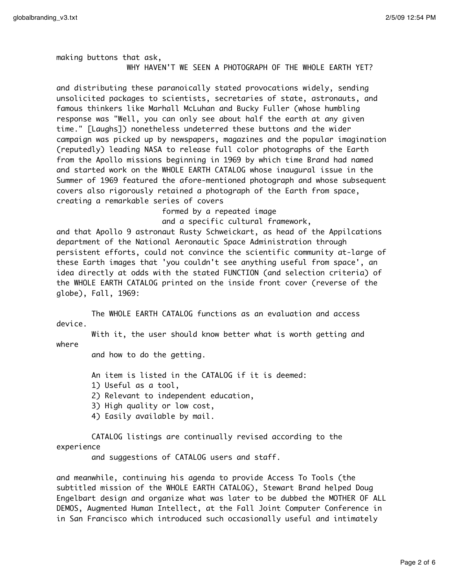making buttons that ask, WHY HAVEN'T WE SEEN A PHOTOGRAPH OF THE WHOLE EARTH YET?

and distributing these paranoically stated provocations widely, sending unsolicited packages to scientists, secretaries of state, astronauts, and famous thinkers like Marhall McLuhan and Bucky Fuller (whose humbling response was "Well, you can only see about half the earth at any given time." [Laughs]) nonetheless undeterred these buttons and the wider campaign was picked up by newspapers, magazines and the popular imagination (reputedly) leading NASA to release full color photographs of the Earth from the Apollo missions beginning in 1969 by which time Brand had named and started work on the WHOLE EARTH CATALOG whose inaugural issue in the Summer of 1969 featured the afore-mentioned photograph and whose subsequent covers also rigorously retained a photograph of the Earth from space, creating a remarkable series of covers

formed by a repeated image

and a specific cultural framework,

and that Apollo 9 astronaut Rusty Schweickart, as head of the Appilcations department of the National Aeronautic Space Administration through persistent efforts, could not convince the scientific community at-large of these Earth images that 'you couldn't see anything useful from space', an idea directly at odds with the stated FUNCTION (and selection criteria) of the WHOLE EARTH CATALOG printed on the inside front cover (reverse of the globe), Fall, 1969:

The WHOLE EARTH CATALOG functions as an evaluation and access device.

With it, the user should know better what is worth getting and where

and how to do the getting.

An item is listed in the CATALOG if it is deemed:

1) Useful as a tool,

2) Relevant to independent education,

- 3) High quality or low cost,
- 4) Easily available by mail.

CATALOG listings are continually revised according to the experience

and suggestions of CATALOG users and staff.

and meanwhile, continuing his agenda to provide Access To Tools (the subtitled mission of the WHOLE EARTH CATALOG), Stewart Brand helped Doug Engelbart design and organize what was later to be dubbed the MOTHER OF ALL DEMOS, Augmented Human Intellect, at the Fall Joint Computer Conference in in San Francisco which introduced such occasionally useful and intimately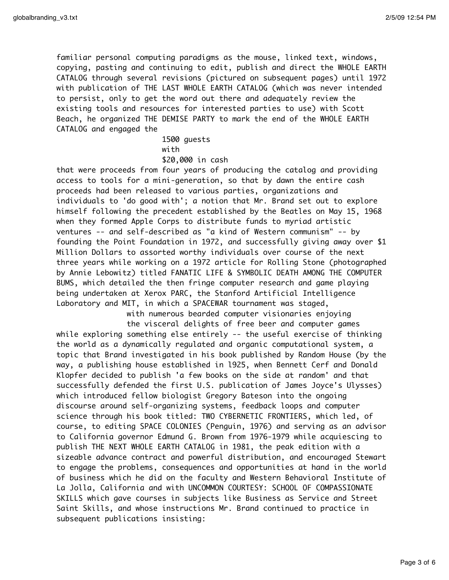familiar personal computing paradigms as the mouse, linked text, windows, copying, pasting and continuing to edit, publish and direct the WHOLE EARTH CATALOG through several revisions (pictured on subsequent pages) until 1972 with publication of THE LAST WHOLE EARTH CATALOG (which was never intended to persist, only to get the word out there and adequately review the existing tools and resources for interested parties to use) with Scott Beach, he organized THE DEMISE PARTY to mark the end of the WHOLE EARTH CATALOG and engaged the

> 1500 guests with \$20,000 in cash

that were proceeds from four years of producing the catalog and providing access to tools for a mini-generation, so that by dawn the entire cash proceeds had been released to various parties, organizations and individuals to 'do good with'; a notion that Mr. Brand set out to explore himself following the precedent established by the Beatles on May 15, 1968 when they formed Apple Corps to distribute funds to myriad artistic ventures -- and self-described as "a kind of Western communism" -- by founding the Point Foundation in 1972, and successfully giving away over \$1 Million Dollars to assorted worthy individuals over course of the next three years while working on a 1972 article for Rolling Stone (photographed by Annie Lebowitz) titled FANATIC LIFE & SYMBOLIC DEATH AMONG THE COMPUTER BUMS, which detailed the then fringe computer research and game playing being undertaken at Xerox PARC, the Stanford Artificial Intelligence Laboratory and MIT, in which a SPACEWAR tournament was staged,

> with numerous bearded computer visionaries enjoying the visceral delights of free beer and computer games

while exploring something else entirely -- the useful exercise of thinking the world as a dynamically regulated and organic computational system, a topic that Brand investigated in his book published by Random House (by the way, a publishing house established in l925, when Bennett Cerf and Donald Klopfer decided to publish 'a few books on the side at random' and that successfully defended the first U.S. publication of James Joyce's Ulysses) which introduced fellow biologist Gregory Bateson into the ongoing discourse around self-organizing systems, feedback loops and computer science through his book titled: TWO CYBERNETIC FRONTIERS, which led, of course, to editing SPACE COLONIES (Penguin, 1976) and serving as an advisor to California governor Edmund G. Brown from 1976-1979 while acquiescing to publish THE NEXT WHOLE EARTH CATALOG in 1981, the peak edition with a sizeable advance contract and powerful distribution, and encouraged Stewart to engage the problems, consequences and opportunities at hand in the world of business which he did on the faculty and Western Behavioral Institute of La Jolla, California and with UNCOMMON COURTESY: SCHOOL OF COMPASSIONATE SKILLS which gave courses in subjects like Business as Service and Street Saint Skills, and whose instructions Mr. Brand continued to practice in subsequent publications insisting: